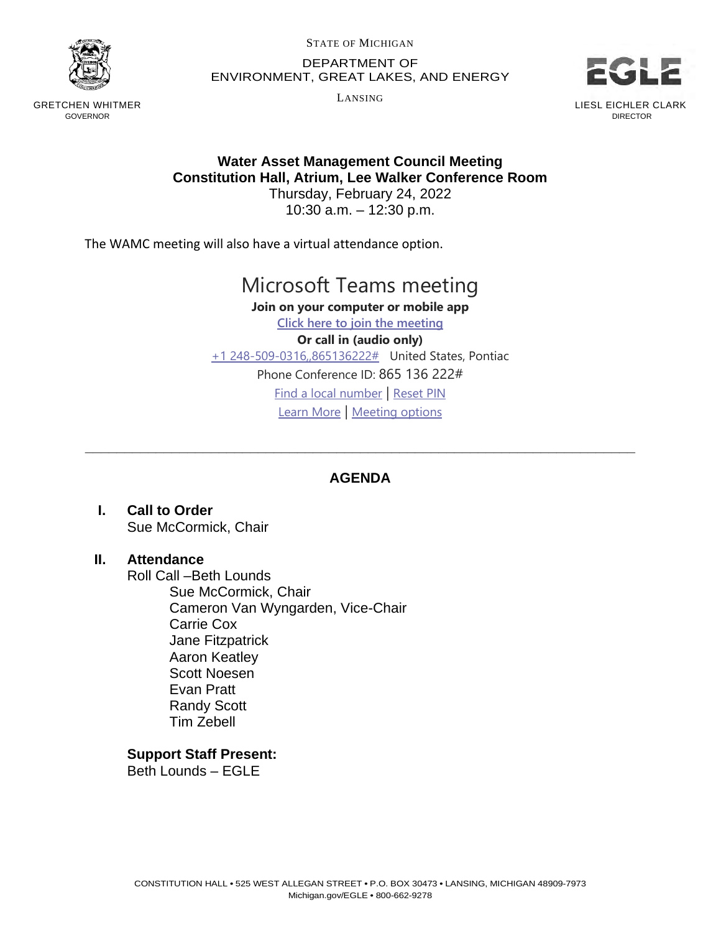

GRETCHEN WHITMER GOVERNOR

STATE OF MICHIGAN

DEPARTMENT OF ENVIRONMENT, GREAT LAKES, AND ENERGY

LANSING



## **Water Asset Management Council Meeting Constitution Hall, Atrium, Lee Walker Conference Room**

Thursday, February 24, 2022 10:30 a.m. – 12:30 p.m.

The WAMC meeting will also have a virtual attendance option.

## Microsoft Teams meeting

**Join on your computer or mobile app**

**[Click here to join the meeting](https://teams.microsoft.com/l/meetup-join/19%3ameeting_ZjhlZDYzMjMtMjkwMC00MmVmLWJhYzAtNDA2Yzg1NzJmOTI4%40thread.v2/0?context=%7b%22Tid%22%3a%22d5fb7087-3777-42ad-966a-892ef47225d1%22%2c%22Oid%22%3a%22fcc26bc2-91df-4348-8163-65754e0acf88%22%7d) Or call in (audio only)** [+1 248-509-0316,,865136222#](tel:+12485090316,,865136222#%20) United States, Pontiac Phone Conference ID: 865 136 222# [Find a local number](https://dialin.teams.microsoft.com/95e14c4b-c14d-430f-a556-75831bdf54bf?id=865136222) | [Reset PIN](https://mysettings.lync.com/pstnconferencing) [Learn More](https://aka.ms/JoinTeamsMeeting) | [Meeting options](https://teams.microsoft.com/meetingOptions/?organizerId=fcc26bc2-91df-4348-8163-65754e0acf88&tenantId=d5fb7087-3777-42ad-966a-892ef47225d1&threadId=19_meeting_ZjhlZDYzMjMtMjkwMC00MmVmLWJhYzAtNDA2Yzg1NzJmOTI4@thread.v2&messageId=0&language=en-US)

## **AGENDA**

\_\_\_\_\_\_\_\_\_\_\_\_\_\_\_\_\_\_\_\_\_\_\_\_\_\_\_\_\_\_\_\_\_\_\_\_\_\_\_\_\_\_\_\_\_\_\_\_\_\_\_\_\_\_\_\_\_\_\_\_\_\_\_\_\_\_\_\_\_\_

**I. Call to Order** Sue McCormick, Chair

## **II. Attendance**

Roll Call –Beth Lounds Sue McCormick, Chair Cameron Van Wyngarden, Vice-Chair Carrie Cox Jane Fitzpatrick Aaron Keatley Scott Noesen Evan Pratt Randy Scott Tim Zebell

**Support Staff Present:**

Beth Lounds – EGLE